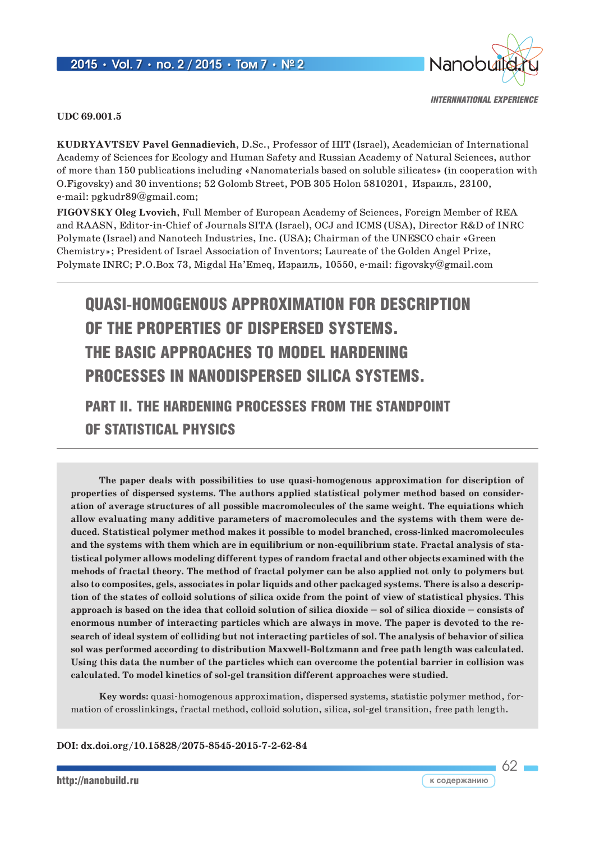#### 2015 **•** Vol. 7 **•** no. 2 / 2015 **•** Том 7 **•** № 2



*internnational experience*

#### **UDC 69.001.5**

**KUDRYAVTSEV Pavel Gennadievich**, D.Sc., Professor of HIT (Israel), Academician of International Academy of Sciences for Ecology and Human Safety and Russian Academy of Natural Sciences, author of more than 150 publications including «Nanomaterials based on soluble silicates» (in cooperation with O.Figovsky) and 30 inventions; 52 Golomb Street, POB 305 Holon 5810201, Израиль, 23100, e-mail: pgkudr89@gmail.com;

**FIGOVSKY Oleg Lvovich**, Full Member of European Academy of Sciences, Foreign Member of REA and RAASN, Editor-in-Chief of Journals SITA (Israel), OCJ and ICMS (USA), Director R&D of INRC Polymate (Israel) and Nanotech Industries, Inc. (USA); Chairman of the UNESCO chair «Green Chemistry»; President of Israel Association of Inventors; Laureate of the Golden Angel Prize, Polymate INRC; P.O.Box 73, Migdal Ha'Emeq, Израиль, 10550, e-mail: figovsky@gmail.com

# QUASI-HOMOGENOUS APPROXIMATION FOR DESCRIPTION OF THE PROPERTIES OF DISPERSED SYSTEMS. THE BASIC APPROACHES TO MODEL HARDENING PROCESSES IN NANODISPERSED SILICA SYSTEMS.

## PART II. THE HARDENING PROCESSES FROM THE STANDPOINT OF STATISTICAL PHYSICS

**The paper deals with possibilities to use quasi-homogenous approximation for discription of properties of dispersed systems. The authors applied statistical polymer method based on consideration of average structures of all possible macromolecules of the same weight. The equiations which allow evaluating many additive parameters of macromolecules and the systems with them were deduced. Statistical polymer method makes it possible to model branched, cross-linked macromolecules and the systems with them which are in equilibrium or non-equilibrium state. Fractal analysis of statistical polymer allows modeling different types of random fractal and other objects examined with the mehods of fractal theory. The method of fractal polymer can be also applied not only to polymers but also to composites, gels, associates in polar liquids and other packaged systems. There is also a description of the states of colloid solutions of silica oxide from the point of view of statistical physics. This approach is based on the idea that colloid solution of silica dioxide – sol of silica dioxide – consists of enormous number of interacting particles which are always in move. The paper is devoted to the research of ideal system of colliding but not interacting particles of sol. The analysis of behavior of silica sol was performed according to distribution Maxwell-Boltzmann and free path length was calculated. Using this data the number of the particles which can overcome the potential barrier in collision was calculated. To model kinetics of sol-gel transition different approaches were studied.**

**Key words:** quasi-homogenous approximation, dispersed systems, statistic polymer method, formation of crosslinkings, fractal method, colloid solution, silica, sol-gel transition, free path length.

**DOI: dx.doi.org/10.15828/2075-8545-2015-7-2-62-84**

 $62 -$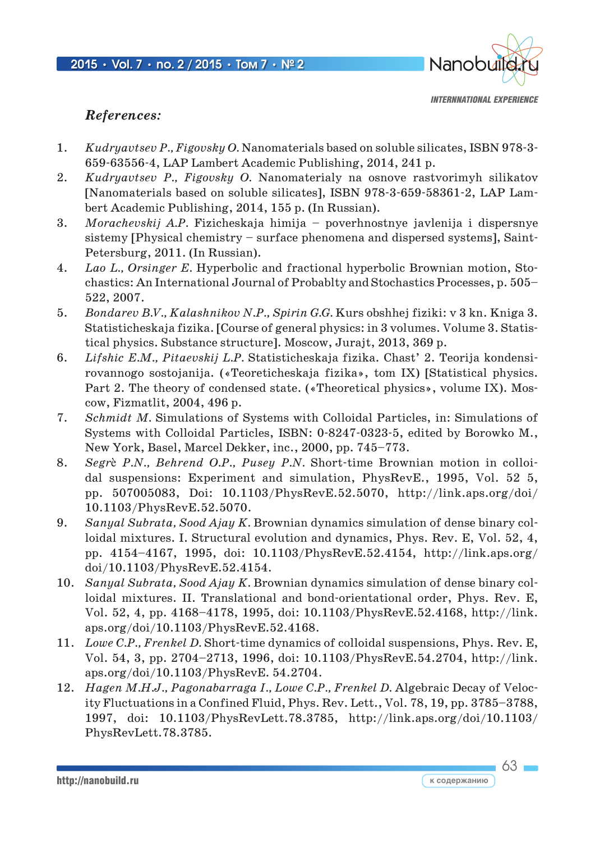

63

#### *References:*

- 1. *Kudryavtsev P., Figovsky O.* Nanomaterials based on soluble silicates, ISBN 978-3- 659-63556-4, LAP Lambert Academic Publishing, 2014, 241 p.
- 2. *Kudryavtsev P., Figovsky O.* Nanomaterialy na osnove rastvorimyh silikatov [Nanomaterials based on soluble silicates], ISBN 978-3-659-58361-2, LAP Lambert Academic Publishing, 2014, 155 p. (In Russian).
- 3. *Morachevskij A.P.* Fizicheskaja himija poverhnostnye javlenija i dispersnye sistemy [Physical chemistry – surface phenomena and dispersed systems], Saint-Petersburg, 2011. (In Russian).
- 4. *Lao L., Orsinger E.* Hyperbolic and fractional hyperbolic Brownian motion, Stochastics: An International Journal of Probablty and Stochastics Processes, p. 505– 522, 2007.
- 5. *Bondarev B.V., Kalashnikov N.P., Spirin G.G.* Kurs obshhej fiziki: v 3 kn. Kniga 3. Statisticheskaja fizika. [Course of general physics: in 3 volumes. Volume 3. Statistical physics. Substance structure]. Moscow, Jurajt, 2013, 369 p.
- 6. *Lifshic E.M., Pitaevskij L.P.* Statisticheskaja fizika. Chast' 2. Teorija kondensirovannogo sostojanija. («Teoreticheskaja fizika», tom IX) [Statistical physics. Part 2. The theory of condensed state. («Theoretical physics», volume IX). Moscow, Fizmatlit, 2004, 496 p.
- 7. *Schmidt M.* Simulations of Systems with Colloidal Particles, in: Simulations of Systems with Colloidal Particles, ISBN: 0-8247-0323-5, edited by Borowko M., New York, Basel, Marcel Dekker, inc., 2000, pp. 745–773.
- 8. *Segr*è *P.N., Behrend O.P., Pusey P.N.* Short-time Brownian motion in colloidal suspensions: Experiment and simulation, PhysRevE., 1995, Vol. 52 5, pp. 507005083, Doi: 10.1103/PhysRevE.52.5070, http://link.aps.org/doi/ 10.1103/PhysRevE.52.5070.
- 9. *Sanyal Subrata, Sood Ajay K.* Brownian dynamics simulation of dense binary colloidal mixtures. I. Structural evolution and dynamics, Phys. Rev. E, Vol. 52, 4, pp. 4154–4167, 1995, doi: 10.1103/PhysRevE.52.4154, http://link.aps.org/ doi/10.1103/PhysRevE.52.4154.
- 10. *Sanyal Subrata, Sood Ajay K.* Brownian dynamics simulation of dense binary colloidal mixtures. II. Translational and bond-orientational order, Phys. Rev. E, Vol. 52, 4, pp. 4168–4178, 1995, doi: 10.1103/PhysRevE.52.4168, http://link. aps.org/doi/10.1103/PhysRevE.52.4168.
- 11. *Lowe C.P., Frenkel D.* Short-time dynamics of colloidal suspensions, Phys. Rev. E, Vol. 54, 3, pp. 2704–2713, 1996, doi: 10.1103/PhysRevE.54.2704, http://link. aps.org/doi/10.1103/PhysRevE. 54.2704.
- 12. *Hagen M.H.J., Pagonabarraga I., Lowe C.P., Frenkel D.* Algebraic Decay of Velocity Fluctuations in a Confined Fluid, Phys. Rev. Lett., Vol. 78, 19, pp. 3785–3788, 1997, doi: 10.1103/PhysRevLett.78.3785, http://link.aps.org/doi/10.1103/ PhysRevLett.78.3785.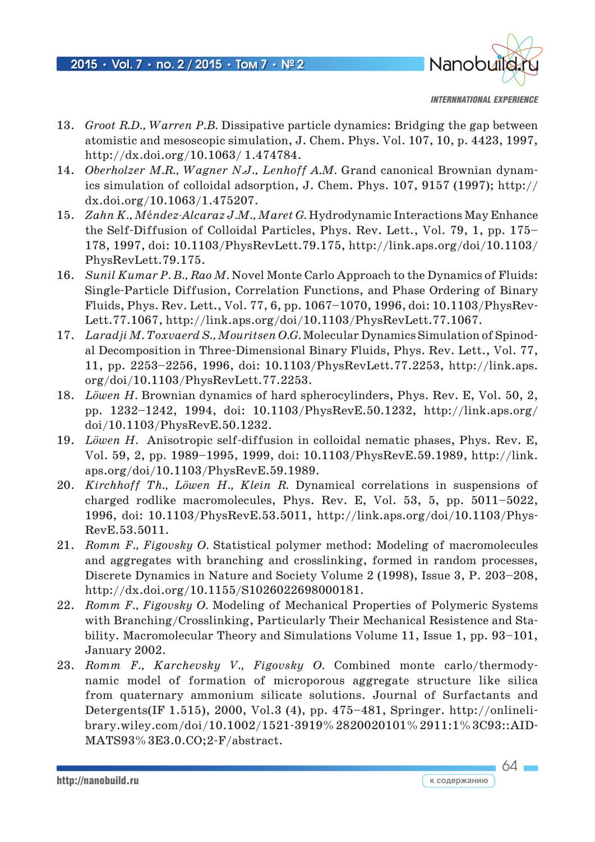

*internnational experience*

 $64 -$ 

- 13. *Groot R.D., Warren P.B.* Dissipative particle dynamics: Bridging the gap between atomistic and mesoscopic simulation, J. Chem. Phys. Vol. 107, 10, p. 4423, 1997, http://dx.doi.org/10.1063/ 1.474784.
- 14. *Oberholzer M.R., Wagner N.J., Lenhoff A.M.* Grand canonical Brownian dynamics simulation of colloidal adsorption, J. Chem. Phys. 107, 9157 (1997); http:// dx.doi.org/10.1063/1.475207.
- 15. *Zahn K., M*é*ndez-Alcaraz J.M., Maret G.* Hydrodynamic Interactions May Enhance the Self-Diffusion of Colloidal Particles, Phys. Rev. Lett., Vol. 79, 1, pp. 175– 178, 1997, doi: 10.1103/PhysRevLett.79.175, http://link.aps.org/doi/10.1103/ PhysRevLett.79.175.
- 16. *Sunil Kumar P. B., Rao M.* Novel Monte Carlo Approach to the Dynamics of Fluids: Single-Particle Diffusion, Correlation Functions, and Phase Ordering of Binary Fluids, Phys. Rev. Lett., Vol. 77, 6, pp. 1067–1070, 1996, doi: 10.1103/PhysRev-Lett.77.1067, http://link.aps.org/doi/10.1103/PhysRevLett.77.1067.
- 17. *Laradji M. Toxvaerd S., Mouritsen O.G.* Molecular Dynamics Simulation of Spinodal Decomposition in Three-Dimensional Binary Fluids, Phys. Rev. Lett., Vol. 77, 11, pp. 2253–2256, 1996, doi: 10.1103/PhysRevLett.77.2253, http://link.aps. org/doi/10.1103/PhysRevLett.77.2253.
- 18. *Löwen H.* Brownian dynamics of hard spherocylinders, Phys. Rev. E, Vol. 50, 2, pp. 1232–1242, 1994, doi: 10.1103/PhysRevE.50.1232, http://link.aps.org/ doi/10.1103/PhysRevE.50.1232.
- 19. *Löwen H.* Anisotropic self-diffusion in colloidal nematic phases, Phys. Rev. E, Vol. 59, 2, pp. 1989–1995, 1999, doi: 10.1103/PhysRevE.59.1989, http://link. aps.org/doi/10.1103/PhysRevE.59.1989.
- 20. *Kirchhoff Th., Löwen H., Klein R.* Dynamical correlations in suspensions of charged rodlike macromolecules, Phys. Rev. E, Vol. 53, 5, pp. 5011–5022, 1996, doi: 10.1103/PhysRevE.53.5011, http://link.aps.org/doi/10.1103/Phys-RevE.53.5011.
- 21. *Romm F., Figovsky O.* Statistical polymer method: Modeling of macromolecules and aggregates with branching and crosslinking, formed in random processes, Discrete Dynamics in Nature and Society Volume 2 (1998), Issue 3, P. 203–208, http://dx.doi.org/10.1155/S1026022698000181.
- 22. *Romm F., Figovsky O.* Modeling of Mechanical Properties of Polymeric Systems with Branching/Crosslinking, Particularly Their Mechanical Resistence and Stability. Macromolecular Theory and Simulations Volume 11, Issue 1, pp. 93–101, January 2002.
- 23. *Romm F., Karchevsky V., Figovsky O.* Combined monte carlo/thermodynamic model of formation of microporous aggregate structure like silica from quaternary ammonium silicate solutions. Journal of Surfactants and Detergents(IF 1.515), 2000, Vol.3 (4), pp. 475–481, Springer. http://onlinelibrary.wiley.com/doi/10.1002/1521-3919%2820020101%2911:1%3C93::AID-MATS93%3E3.0.CO;2-F/abstract.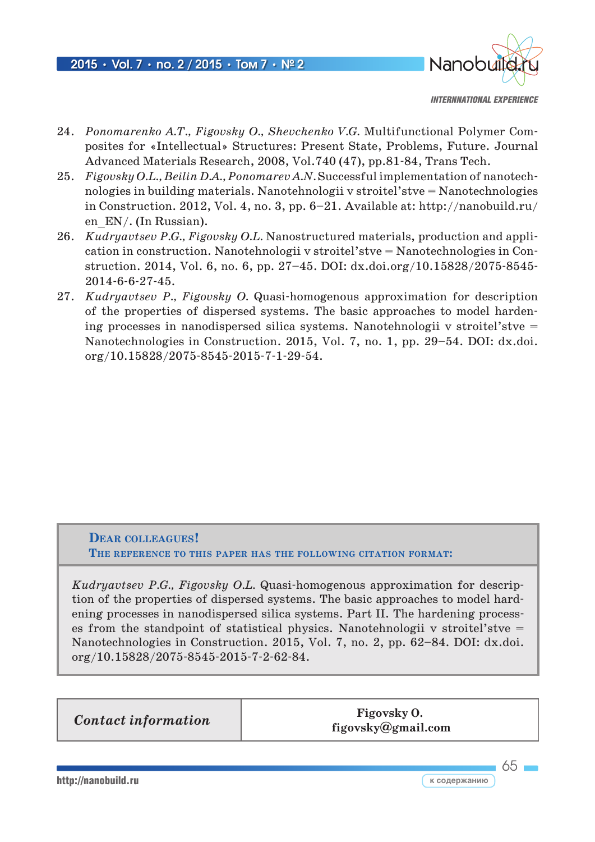

*internnational experience*

- 24. *Ponomarenko A.T., Figovsky O., Shevchenko V.G.* Multifunctional Polymer Composites for «Intellectual» Structures: Present State, Problems, Future. Journal Advanced Materials Research, 2008, Vol.740 (47), pp.81-84, Trans Tech.
- 25. *Figovsky O.L., Beilin D.A., Ponomarev A.N.* Successful implementation of nanotechnologies in building materials. Nanotehnologii v stroitel'stve = Nanotechnologies in Construction. 2012, Vol. 4, no. 3, pp. 6–21. Available at: http://nanobuild.ru/ en  $EN/$ . (In Russian).
- 26. *Kudryavtsev P.G., Figovsky O.L.* Nanostructured materials, production and application in construction. Nanotehnologii v stroitel'stve = Nanotechnologies in Construction. 2014, Vol. 6, no. 6, pp. 27–45. DOI: dx.doi.org/10.15828/2075-8545- 2014-6-6-27-45.
- 27. *Kudryavtsev P., Figovsky O.* Quasi-homogenous approximation for description of the properties of dispersed systems. The basic approaches to model hardening processes in nanodispersed silica systems. Nanotehnologii v stroitel'stve = Nanotechnologies in Construction. 2015, Vol. 7, no. 1, pp. 29–54. DOI: dx.doi. org/10.15828/2075-8545-2015-7-1-29-54.

#### **Dear colleagues! The reference to this paper has the following citation format:**

*Kudryavtsev P.G., Figovsky O.L.* Quasi-homogenous approximation for description of the properties of dispersed systems. Тhe basic approaches to model hardening processes in nanodispersed silica systems. Part II. The hardening processes from the standpoint of statistical physics. Nanotehnologii v stroitel'stve  $=$ Nanotechnologies in Construction. 2015, Vol. 7, no. 2, pp. 62–84. DOI: dx.doi. org/10.15828/2075-8545-2015-7-2-62-84.

**Contact information Figovsky O.** 

 **figovsky@gmail.com**

http://nanobuild.ru **к содержанию**

65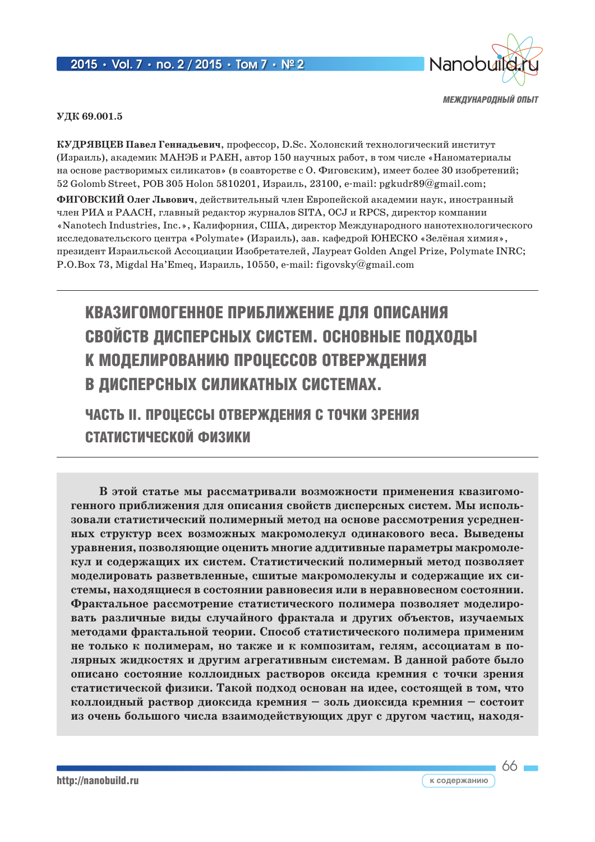#### 2015 **•** Vol. 7 **•** no. 2 / 2015 **•** Том 7 **•** № 2



*МЕЖДУНАРОДНЫЙ ОПЫТ*

66

**УДК 69.001.5**

**КУДРЯВЦЕВ Павел Геннадьевич**, профессор, D.Sc. Холонский технологический институт (Израиль), академик МАНЭБ и РАЕН, автор 150 научных работ, в том числе «Наноматериалы на основе растворимых силикатов» (в соавторстве с О. Фиговским), имеет более 30 изобретений; 52 Golomb Street, POB 305 Holon 5810201, Израиль, 23100, e-mail: pgkudr89@gmail.com;

**ФИГОВСКИЙ Олег Львович**, действительный член Европейской академии наук, иностранный член РИА и РААСН, главный редактор журналов SITA, OCJ и RPCS, директор компании «Nanotech Industries, Inc.», Калифорния, CША, директор Международного нанотехнологического исследовательского центра «Polymate» (Израиль), зав. кафедрой ЮНЕСКО «Зелёная химия», президент Израильской Ассоциации Изобретателей, Лауреат Golden Angel Prize, Polymate INRC; P.O.Box 73, Migdal Ha'Emeq, Израиль, 10550, e-mail: figovsky@gmail.com

# КВАЗИГОМОГЕННОЕ ПРИБЛИЖЕНИЕ ДЛЯ ОПИСАНИЯ СВОЙСТВ ДИСПЕРСНЫХ СИСТЕМ. ОСНОВНЫЕ ПОДХОДЫ К МОДЕЛИРОВАНИЮ ПРОЦЕССОВ ОТВЕРЖДЕНИЯ В ДИСПЕРСНЫХ СИЛИКАТНЫХ СИСТЕМАХ.

## ЧАСТЬ II. Процессы отверждения с точки зрения статистической физики

**В этой статье мы рассматривали возможности применения квазигомогенного приближения для описания свойств дисперсных систем. Мы использовали статистический полимерный метод на основе рассмотрения усредненных структур всех возможных макромолекул одинакового веса. Выведены уравнения, позволяющие оценить многие аддитивные параметры макромолекул и содержащих их систем. Статистический полимерный метод позволяет моделировать разветвленные, сшитые макромолекулы и содержащие их системы, находящиеся в состоянии равновесия или в неравновесном состоянии. Фрактальное рассмотрение статистического полимера позволяет моделировать различные виды случайного фрактала и других объектов, изучаемых методами фрактальной теории. Способ статистического полимера применим не только к полимерам, но также и к композитам, гелям, ассоциатам в полярных жидкостях и другим агрегативным системам. В данной работе было описано состояние коллоидных растворов оксида кремния с точки зрения статистической физики. Такой подход основан на идее, состоящей в том, что коллоидный раствор диоксида кремния – золь диоксида кремния – состоит из очень большого числа взаимодействующих друг с другом частиц, находя-**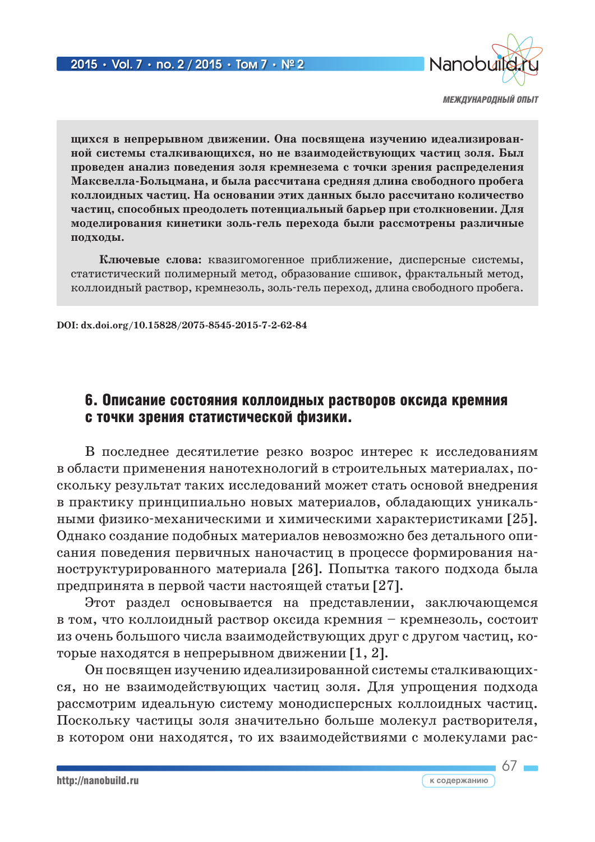

**щихся в непрерывном движении. Она посвящена изучению идеализированной системы сталкивающихся, но не взаимодействующих частиц золя. Был проведен анализ поведения золя кремнезема с точки зрения распределения Максвелла-Больцмана, и была рассчитана средняя длина свободного пробега коллоидных частиц. На основании этих данных было рассчитано количество частиц, способных преодолеть потенциальный барьер при столкновении. Для моделирования кинетики золь-гель перехода были рассмотрены различные подходы.**

**Ключевые слова:** квазигомогенное приближение, дисперсные системы, статистический полимерный метод, образование сшивок, фрактальный метод, коллоидный раствор, кремнезоль, золь-гель переход, длина свободного пробега.

**DOI: dx.doi.org/10.15828/2075-8545-2015-7-2-62-84**

### 6. Описание состояния коллоидных растворов оксида кремния с точки зрения статистической физики.

В последнее десятилетие резко возрос интерес к исследованиям в области применения нанотехнологий в строительных материалах, поскольку результат таких исследований может стать основой внедрения в практику принципиально новых материалов, обладающих уникальными физико-механическими и химическими характеристиками [25]. Однако создание подобных материалов невозможно без детального описания поведения первичных наночастиц в процессе формирования наноструктурированного материала [26]. Попытка такого подхода была предпринята в первой части настоящей статьи [27].

Этот раздел основывается на представлении, заключающемся в том, что коллоидный раствор оксида кремния – кремнезоль, состоит из очень большого числа взаимодействующих друг с другом частиц, которые находятся в непрерывном движении [1, 2].

Он посвящен изучению идеализированной системы сталкивающихся, но не взаимодействующих частиц золя. Для упрощения подхода рассмотрим идеальную систему монодисперсных коллоидных частиц. Поскольку частицы золя значительно больше молекул растворителя, в котором они находятся, то их взаимодействиями с молекулами рас-

 $67 -$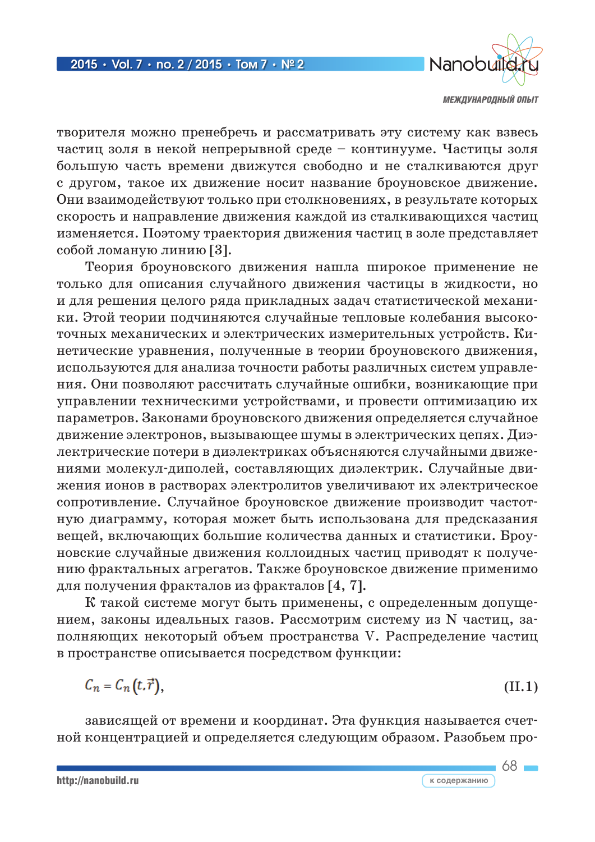

творителя можно пренебречь и рассматривать эту систему как взвесь частиц золя в некой непрерывной среде – континууме. Частицы золя большую часть времени движутся свободно и не сталкиваются друг с другом, такое их движение носит название броуновское движение. Они взаимодействуют только при столкновениях, в результате которых скорость и направление движения каждой из сталкивающихся частиц изменяется. Поэтому траектория движения частиц в золе представляет собой ломаную линию [3].

Теория броуновского движения нашла широкое применение не только для описания случайного движения частицы в жидкости, но и для решения целого ряда прикладных задач статистической механики. Этой теории подчиняются случайные тепловые колебания высокоточных механических и электрических измерительных устройств. Кинетические уравнения, полученные в теории броуновского движения, используются для анализа точности работы различных систем управления. Они позволяют рассчитать случайные ошибки, возникающие при управлении техническими устройствами, и провести оптимизацию их параметров. Законами броуновского движения определяется случайное движение электронов, вызывающее шумы в электрических цепях. Диэлектрические потери в диэлектриках объясняются случайными движениями молекул-диполей, составляющих диэлектрик. Случайные движения ионов в растворах электролитов увеличивают их электрическое сопротивление. Случайное броуновское движение производит частотную диаграмму, которая может быть использована для предсказания вещей, включающих большие количества данных и статистики. Броуновские случайные движения коллоидных частиц приводят к получению фрактальных агрегатов. Также броуновское движение применимо для получения фракталов из фракталов [4, 7].

К такой системе могут быть применены, с определенным допущением, законы идеальных газов. Рассмотрим систему из N частиц, заполняющих некоторый объем пространства V. Распределение частиц в пространстве описывается посредством функции:

$$
C_n = C_n(t, \vec{r}), \tag{II.1}
$$

зависящей от времени и координат. Эта функция называется счетной концентрацией и определяется следующим образом. Разобьем про-

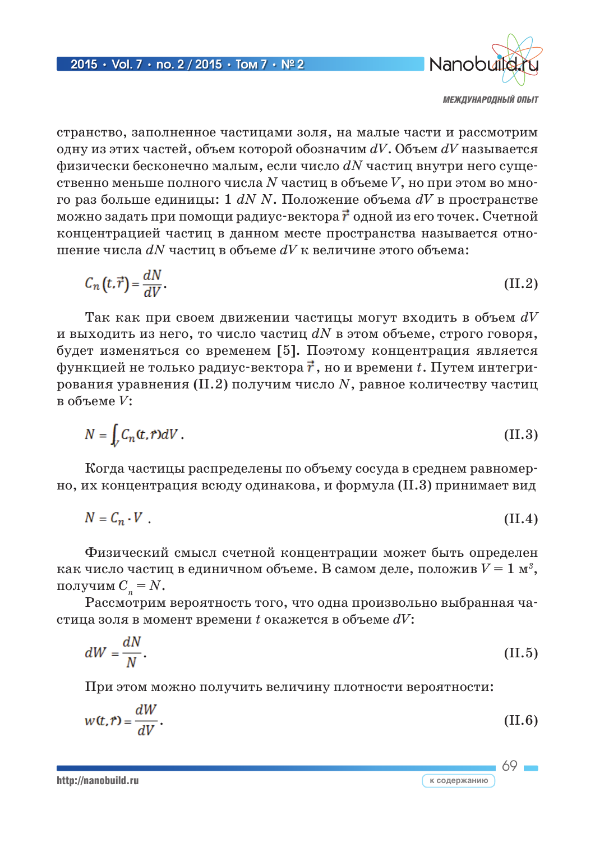

69

к содержанию

странство, заполненное частицами золя, на малые части и рассмотрим одну из этих частей, объем которой обозначим  $dV$ . Объем  $dV$  называется физически бесконечно малым, если число  $dN$  частиц внутри него существенно меньше полного числа  $N$  частиц в объеме  $V$ , но при этом во много раз больше единицы: 1  $dN N$ . Положение объема  $dV$  в пространстве можно задать при помощи радиус-вектора  $\vec{r}$  одной из его точек. Счетной концентрацией частиц в данном месте пространства называется отношение числа  $dN$  частиц в объеме  $dV$  к величине этого объема:

$$
C_n(t,\vec{r}) = \frac{dN}{dV}.\tag{II.2}
$$

Так как при своем движении частицы могут входить в объем  $dV$ и выходить из него, то число частиц  $dN$  в этом объеме, строго говоря, будет изменяться со временем [5]. Поэтому концентрация является функцией не только радиус-вектора  $\vec{r}$ , но и времени  $t$ . Путем интегрирования уравнения (II.2) получим число  $N$ , равное количеству частиц в объеме  $V$ :

$$
N = \int_{V} C_n(t, r) dV.
$$
 (II.3)

Когда частицы распределены по объему сосуда в среднем равномерно, их концентрация всюду одинакова, и формула (II.3) принимает вид

$$
N = C_n \cdot V \tag{II.4}
$$

Физический смысл счетной концентрации может быть определен как число частиц в единичном объеме. В самом деле, положив  $V = 1$  м<sup>3</sup>, получим  $C_n = N$ .

Рассмотрим вероятность того, что одна произвольно выбранная частица золя в момент времени  $t$  окажется в объеме  $dV$ :

$$
dW = \frac{dN}{N}.\tag{II.5}
$$

При этом можно получить величину плотности вероятности:

$$
w(t,r) = \frac{dW}{dV}.
$$
 (II.6)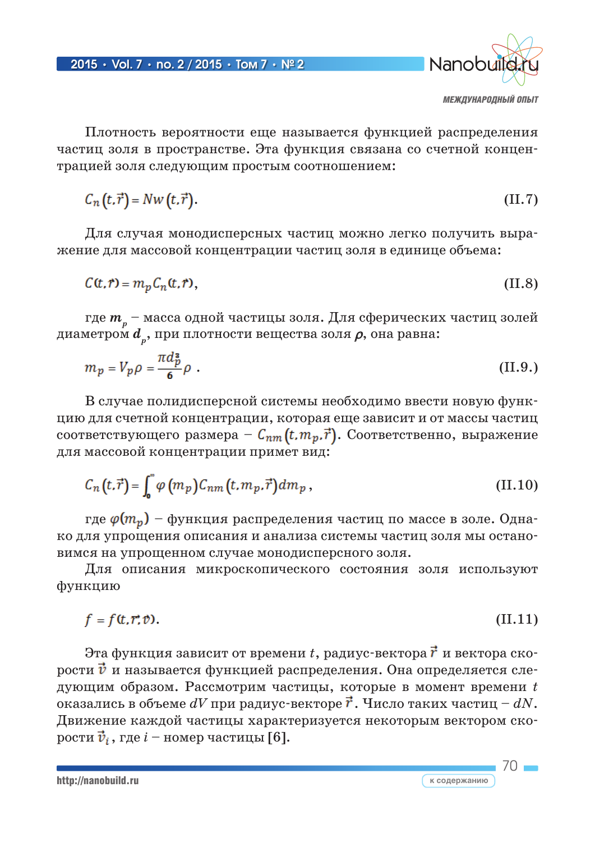

70

Плотность вероятности еще называется функцией распределения частиц золя в пространстве. Эта функция связана со счетной концентрацией золя следующим простым соотношением:

$$
C_n(t,\vec{r}) = Nw(t,\vec{r}).
$$
\n(II.7)

Для случая монодисперсных частиц можно легко получить выражение для массовой концентрации частиц золя в единице объема:

$$
C(t,r) = m_p C_n(t,r),\tag{II.8}
$$

где *m <sup>p</sup>* – масса одной частицы золя. Для сферических частиц золей диаметром *d <sup>p</sup>*, при плотности вещества золя ρ, она равна:

$$
m_p = V_p \rho = \frac{\pi d_p^2}{6} \rho \tag{II.9.}
$$

В случае полидисперсной системы необходимо ввести новую функцию для счетной концентрации, которая еще зависит и от массы частиц соответствующего размера –  $C_{nm}(t, m_p, \vec{r})$ . Соответственно, выражение для массовой концентрации примет вид:

$$
C_n(t,\vec{r}) = \int_0^{\infty} \varphi(m_p) C_{nm}(t, m_p, \vec{r}) dm_p, \qquad (II.10)
$$

где  $\varphi(m_p)$  – функция распределения частиц по массе в золе. Однако для упрощения описания и анализа системы частиц золя мы остановимся на упрощенном случае монодисперсного золя.

Для описания микроскопического состояния золя используют функцию

$$
f = f(t, r; \mathcal{V}). \tag{II.11}
$$

Эта функция зависит от времени  $t$ , радиус-вектора  $\vec{r}$  и вектора скорости  $\vec{v}$  и называется функцией распределения. Она определяется следующим образом. Рассмотрим частицы, которые в момент времени *t* оказались в объеме  $dV$  при радиус-векторе  $\vec{r}$ . Число таких частиц –  $dN$ . Движение каждой частицы характеризуется некоторым вектором скорости  $\vec{v}_i$ , где  $i$  – номер частицы [6].

http://nanobuild.ru **kontract of the community of the community of the community of the community of the community of the community of the community of the community of the community of the community of the community of t**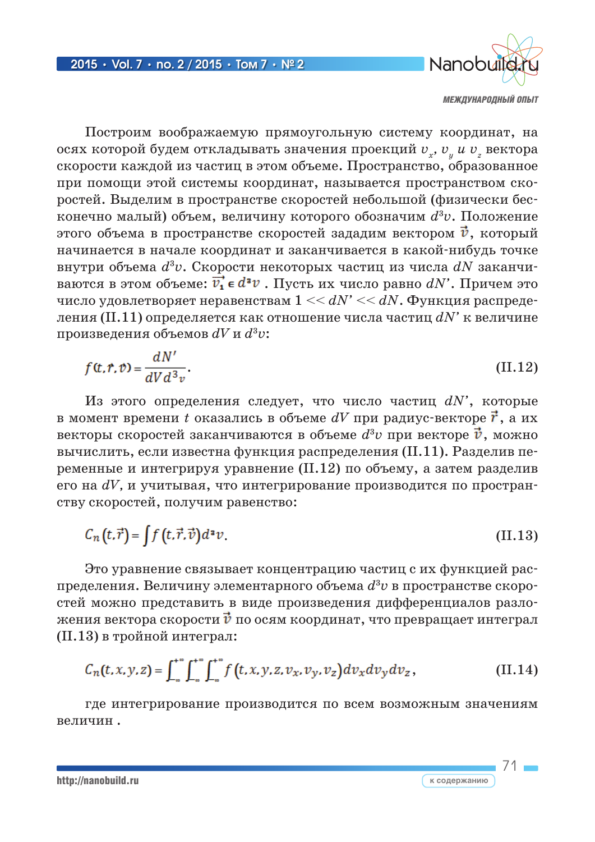

71

к содержанию

Построим воображаемую прямоугольную систему координат, на осях которой будем откладывать значения проекций  $v_r$ ,  $v_u u v_s$  вектора скорости каждой из частиц в этом объеме. Пространство, образованное при помощи этой системы координат, называется пространством скоростей. Выделим в пространстве скоростей небольшой (физически бесконечно малый) объем, величину которого обозначим  $d^3v$ . Положение этого объема в пространстве скоростей зададим вектором  $\vec{v}$ , который начинается в начале координат и заканчивается в какой-нибудь точке внутри объема  $d^3v$ . Скорости некоторых частиц из числа  $dN$  заканчиваются в этом объеме:  $\vec{v}_1 \in d^2v$ . Пусть их число равно  $dN'$ . Причем это число удовлетворяет неравенствам  $1 \ll dN' \ll dN$ . Функция распределения (II.11) определяется как отношение числа частиц  $dN$ ' к величине произведения объемов  $dV$  и  $d^3v$ :

$$
f(t,r,v) = \frac{dN'}{dV d^3 v}.
$$
 (II.12)

Из этого определения следует, что число частиц  $dN'$ , которые в момент времени t оказались в объеме  $dV$  при радиус-векторе  $\vec{r}$ , а их векторы скоростей заканчиваются в объеме  $d^3v$  при векторе  $\vec{v}$ , можно вычислить, если известна функция распределения (II.11). Разделив переменные и интегрируя уравнение (II.12) по объему, а затем разделив его на  $dV$ , и учитывая, что интегрирование производится по пространству скоростей, получим равенство:

$$
C_n(t,\vec{r}) = \int f(t,\vec{r},\vec{v})d^2v.
$$
 (II.13)

Это уравнение связывает концентрацию частиц с их функцией распределения. Величину элементарного объема  $d^3v$  в пространстве скоростей можно представить в виде произведения дифференциалов разложения вектора скорости  $\vec{v}$  по осям координат, что превращает интеграл (II.13) в тройной интеграл:

$$
C_n(t, x, y, z) = \int_{-\infty}^{+\infty} \int_{-\infty}^{+\infty} f(t, x, y, z, v_x, v_y, v_z) dv_x dv_y dv_z, \qquad (II.14)
$$

где интегрирование производится по всем возможным значениям величин.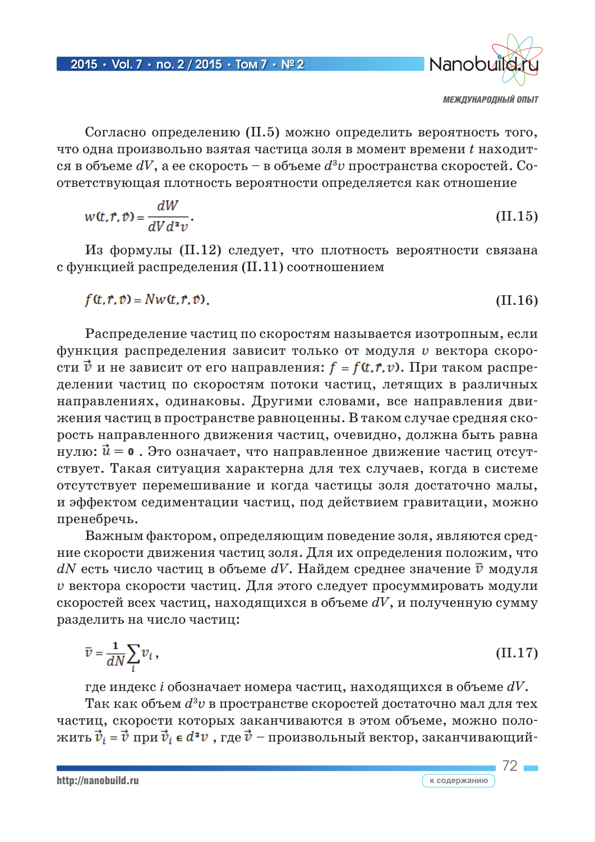

Согласно определению (II.5) можно определить вероятность того, что одна произвольно взятая частица золя в момент времени  $t$  находится в объеме  $dV$ , а ее скорость – в объеме  $d^3v$  пространства скоростей. Соответствующая плотность вероятности определяется как отношение

$$
w(t, r, v) = \frac{dW}{dV d^2 v}.
$$
\n(II.15)

Из формулы (II.12) следует, что плотность вероятности связана с функцией распределения (II.11) соотношением

$$
f(t, r, v) = Nw(t, r, v). \tag{II.16}
$$

Распределение частиц по скоростям называется изотропным, если функция распределения зависит только от модуля  $\nu$  вектора скорости  $\vec{v}$  и не зависит от его направления:  $f = f(t, r, v)$ . При таком распределении частиц по скоростям потоки частиц, летящих в различных направлениях, одинаковы. Другими словами, все направления движения частиц в пространстве равноценны. В таком случае средняя скорость направленного движения частиц, очевидно, должна быть равна нулю:  $\vec{u}$  = 0. Это означает, что направленное движение частиц отсутствует. Такая ситуация характерна для тех случаев, когда в системе отсутствует перемешивание и когда частицы золя достаточно малы, и эффектом седиментации частиц, под действием гравитации, можно пренебречь.

Важным фактором, определяющим поведение золя, являются средние скорости движения частиц золя. Для их определения положим, что  $dN$  есть число частиц в объеме  $dV$ . Найдем среднее значение  $\bar{v}$  модуля г вектора скорости частиц. Для этого следует просуммировать модули скоростей всех частиц, находящихся в объеме  $dV$ , и полученную сумму разделить на число частиц:

$$
\bar{v} = \frac{1}{dN} \sum_{i} v_i, \tag{II.17}
$$

где индекс і обозначает номера частиц, находящихся в объеме  $dV$ . Так как объем  $d^3v$  в пространстве скоростей достаточно мал для тех частиц, скорости которых заканчиваются в этом объеме, можно положить  $\vec{v}_i = \vec{v}$  при  $\vec{v}_i \in d^2v$ , где  $\vec{v}$  – произвольный вектор, заканчивающий-

72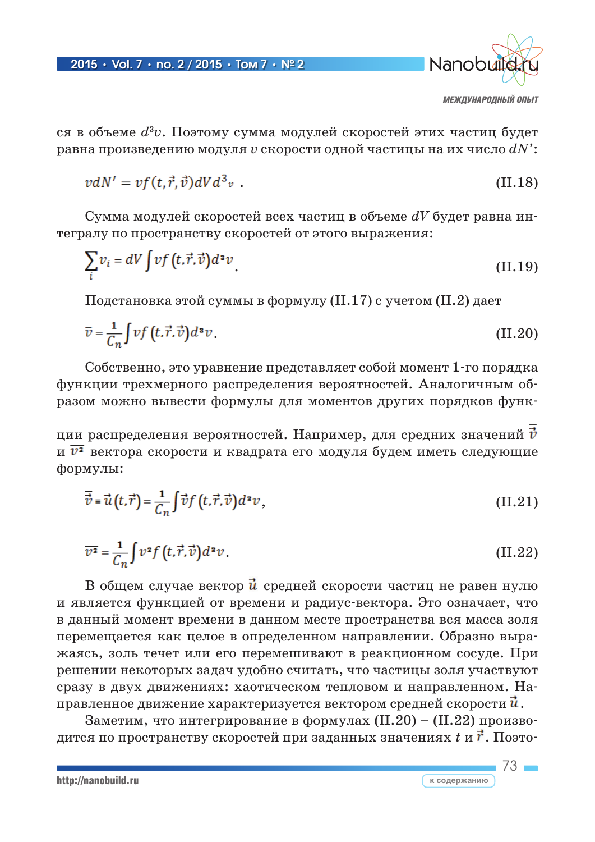

ся в объеме  $d^3v$ . Поэтому сумма модулей скоростей этих частиц будет равна произведению модуля  $v$  скорости одной частицы на их число  $dN$ :

$$
\nu dN' = \nu f(t, \vec{r}, \vec{v}) dV d^3 \nu \tag{II.18}
$$

Сумма модулей скоростей всех частиц в объеме  $dV$  будет равна интегралу по пространству скоростей от этого выражения:

$$
\sum_{i} v_{i} = dV \int v f(t, \vec{r}, \vec{v}) d^{a}v \tag{II.19}
$$

Подстановка этой суммы в формулу (II.17) с учетом (II.2) дает

$$
\overline{v} = \frac{1}{C_n} \int v f(t, \vec{r}, \vec{v}) d^a v. \tag{II.20}
$$

Собственно, это уравнение представляет собой момент 1-го порядка функции трехмерного распределения вероятностей. Аналогичным образом можно вывести формулы для моментов других порядков функ-

ции распределения вероятностей. Например, для средних значений  $\vec{v}$ и  $\overline{v^2}$  вектора скорости и квадрата его модуля будем иметь следующие формулы:

$$
\overline{\vec{v}} = \vec{u}(t, \vec{r}) = \frac{1}{C_n} \int \vec{v} f(t, \vec{r}, \vec{v}) d^a v, \qquad (II.21)
$$

$$
\overline{\nu^2} = \frac{1}{C_n} \int v^2 f\left(t, \vec{r}, \vec{v}\right) d^2 v. \tag{II.22}
$$

В общем случае вектор  $\vec{u}$  средней скорости частиц не равен нулю и является функцией от времени и радиус-вектора. Это означает, что в данный момент времени в данном месте пространства вся масса золя перемещается как целое в определенном направлении. Образно выражаясь, золь течет или его перемешивают в реакционном сосуде. При решении некоторых задач удобно считать, что частицы золя участвуют сразу в двух движениях: хаотическом тепловом и направленном. Направленное движение характеризуется вектором средней скорости  $\vec{u}$ .

Заметим, что интегрирование в формулах (II.20) – (II.22) производится по пространству скоростей при заданных значениях  $t$  и  $\vec{r}$ . Поэто-

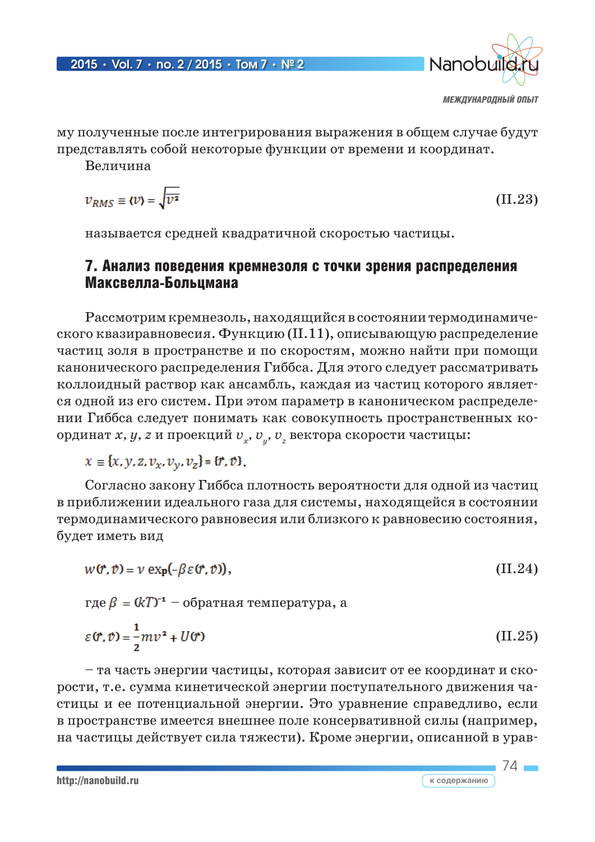

74

му полученные после интегрирования выражения в общем случае будут представлять собой некоторые функции от времени и координат.

Величина

$$
v_{RMS} \equiv \langle v \rangle = \sqrt{\overline{v^2}} \tag{II.23}
$$

называется средней квадратичной скоростью частицы.

### 7. Анализ поведения кремнезоля с точки зрения распределения Максвелла-Больцмана

Рассмотрим кремнезоль, находящийся в состоянии термодинамического квазиравновесия. Функцию (II.11), описывающую распределение частиц золя в пространстве и по скоростям, можно найти при помощи канонического распределения Гиббса. Для этого следует рассматривать коллоидный раствор как ансамбль, каждая из частиц которого является одной из его систем. При этом параметр в каноническом распределении Гиббса следует понимать как совокупность пространственных координат *x, y, z* и проекций  $v_{x}$ ,  $v_{y}$ ,  $v_{z}$  вектора скорости частицы:

 $x \equiv \{x, y, z, v_x, v_y, v_z\} = \{r, v\}.$ 

Согласно закону Гиббса плотность вероятности для одной из частиц в приближении идеального газа для системы, находящейся в состоянии термодинамического равновесия или близкого к равновесию состояния, будет иметь вид

$$
w(\mathbf{r}, \mathbf{v}) = v \exp(-\beta \varepsilon(\mathbf{r}, \mathbf{v})), \tag{II.24}
$$

где  $\beta = (kT)^{-1}$  – обратная температура, а

$$
\varepsilon(\mathbf{r}, \mathbf{v}) = \frac{1}{2}mv^2 + U(\mathbf{r})
$$
 (II.25)

– та часть энергии частицы, которая зависит от ее координат и скорости, т.е. сумма кинетической энергии поступательного движения частицы и ее потенциальной энергии. Это уравнение справедливо, если в пространстве имеется внешнее поле консервативной силы (например, на частицы действует сила тяжести). Кроме энергии, описанной в урав-

http://nanobuild.ru **к содержанию**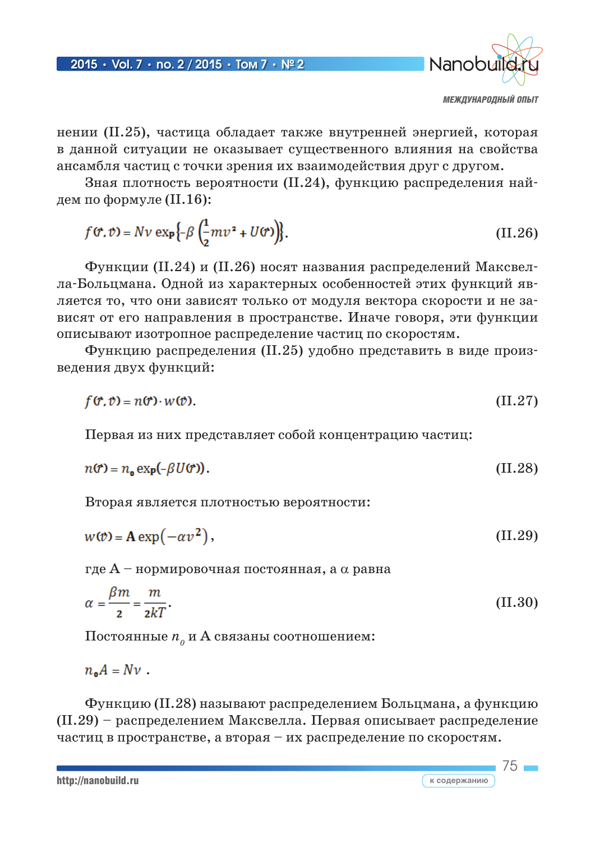

 $75<sub>1</sub>$ 

к содержанию

нении (II.25), частица обладает также внутренней энергией, которая в данной ситуации не оказывает существенного влияния на свойства ансамбля частиц с точки зрения их взаимодействия друг с другом.

Зная плотность вероятности (II.24), функцию распределения найдем по формуле  $(II.16)$ :

$$
f(\mathbf{r}, v) = Nv \exp\left\{-\beta \left(\frac{1}{2}mv^2 + U(r)\right)\right\}.
$$
 (II.26)

Функции (II.24) и (II.26) носят названия распределений Максвелла-Больцмана. Одной из характерных особенностей этих функций является то, что они зависят только от модуля вектора скорости и не зависят от его направления в пространстве. Иначе говоря, эти функции описывают изотропное распределение частиц по скоростям.

Функцию распределения (II.25) удобно представить в виде произведения двух функций:

$$
f(\mathbf{r}, v) = n(\mathbf{r}) \cdot w(v). \tag{II.27}
$$

Первая из них представляет собой концентрацию частиц:

$$
n(\mathbf{r}) = n_{\mathbf{0}} \exp(-\beta U(\mathbf{r})). \tag{II.28}
$$

Вторая является плотностью вероятности:

$$
w(\mathcal{v}) = \mathbf{A} \exp(-\alpha v^2), \tag{II.29}
$$

где  $A$  – нормировочная постоянная, а  $\alpha$  равна

$$
\alpha = \frac{\beta m}{2} = \frac{m}{2kT}.
$$
\n(II.30)

Постоянные  $n_{o}$  и А связаны соотношением:

 $n_{\rm o}A = Nv$ .

Функцию (II.28) называют распределением Больцмана, а функцию (II.29) – распределением Максвелла. Первая описывает распределение частиц в пространстве, а вторая - их распределение по скоростям.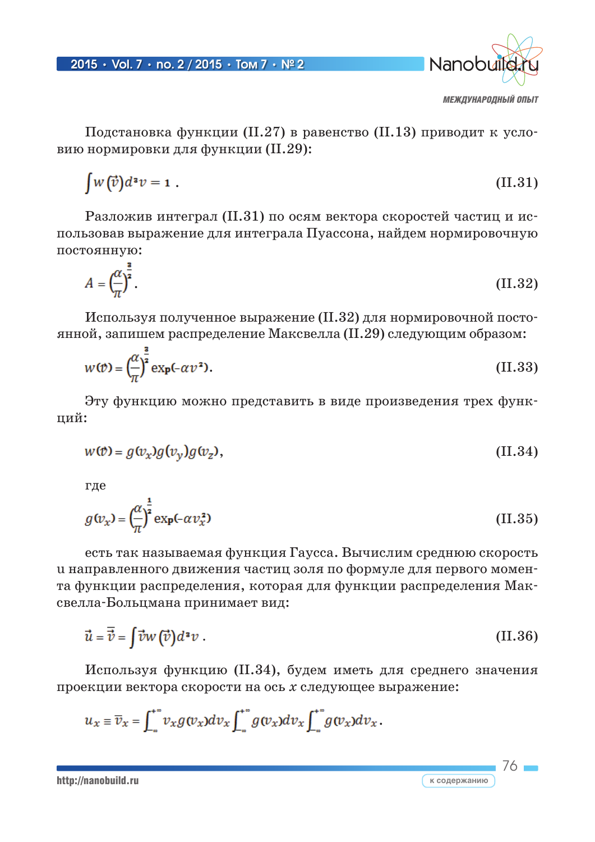

76

к содержанию

Подстановка функции (II.27) в равенство (II.13) приводит к условию нормировки для функции (II.29):

$$
\int w(\vec{v})d^2v = 1. \tag{II.31}
$$

Разложив интеграл (II.31) по осям вектора скоростей частиц и использовав выражение для интеграла Пуассона, найдем нормировочную постоянную:

$$
A = \left(\frac{\alpha}{\pi}\right)^{\frac{2}{2}}.\tag{II.32}
$$

Используя полученное выражение (II.32) для нормировочной постоянной, запишем распределение Максвелла (II.29) следующим образом:

$$
w(\mathbf{v}) = \left(\frac{\alpha}{\pi}\right)^{\frac{2}{3}} \exp(-\alpha \nu^2). \tag{II.33}
$$

Эту функцию можно представить в виде произведения трех функций:

$$
w(\mathcal{v}) = g(v_x)g(v_y)g(v_z), \tag{II.34}
$$

где

$$
g(\nu_x) = \left(\frac{\alpha}{\pi}\right)^{\frac{1}{2}} \exp(-\alpha \nu_x^2)
$$
 (II.35)

есть так называемая функция Гаусса. Вычислим среднюю скорость и направленного движения частиц золя по формуле для первого момента функции распределения, которая для функции распределения Максвелла-Больцмана принимает вид:

$$
\vec{u} = \overline{\vec{v}} = \int \vec{v}w(\vec{v})d^2v \ . \tag{II.36}
$$

Используя функцию (II.34), будем иметь для среднего значения проекции вектора скорости на ось х следующее выражение:

$$
u_x \equiv \overline{v}_x = \int_{-\infty}^{+\infty} v_x g(v_x) dv_x \int_{-\infty}^{+\infty} g(v_x) dv_x \int_{-\infty}^{+\infty} g(v_x) dv_x.
$$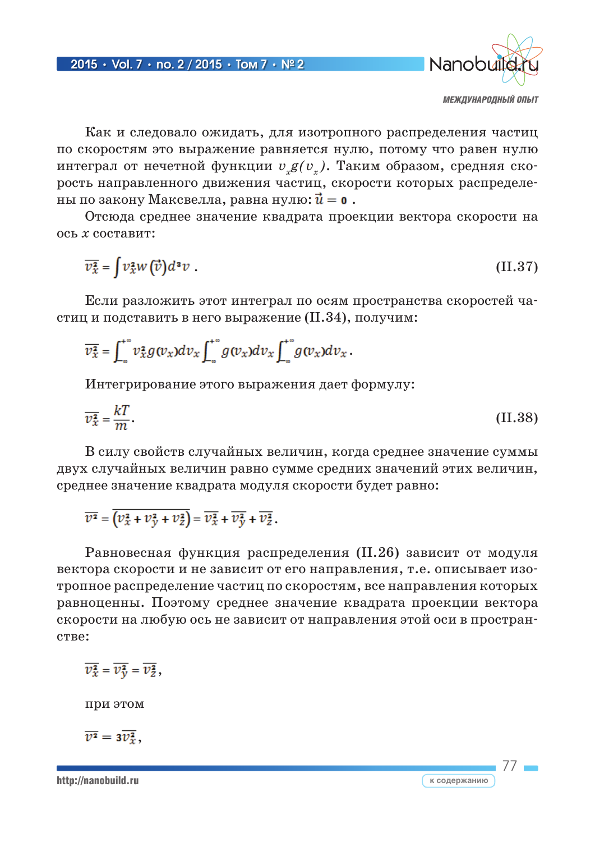

77

Как и следовало ожидать, для изотропного распределения частиц по скоростям это выражение равняется нулю, потому что равен нулю интеграл от нечетной функции  $v_g(v_a)$ . Таким образом, средняя скорость направленного движения частиц, скорости которых распределены по закону Максвелла, равна нулю:  $\vec{u} = \mathbf{0}$ .

Отсюда среднее значение квадрата проекции вектора скорости на ось *х* составит:

$$
\overline{\nu_x^2} = \int v_x^2 w(\vec{v}) d^2 v \tag{II.37}
$$

Если разложить этот интеграл по осям пространства скоростей частиц и подставить в него выражение (II.34), получим:

$$
\overline{\nu_x^2} = \int_{-\infty}^{+\infty} \nu_x^2 g(v_x) dv_x \int_{-\infty}^{+\infty} g(v_x) dv_x \int_{-\infty}^{+\infty} g(v_x) dv_x.
$$

Интегрирование этого выражения дает формулу:

$$
\overline{v_x^2} = \frac{kT}{m}.
$$
 (II.38)

В силу свойств случайных величин, когда среднее значение суммы двух случайных величин равно сумме средних значений этих величин, среднее значение квадрата модуля скорости будет равно:

 $\overline{\mathcal{V}^2} = \overline{\left(\mathcal{V}^2_{\mathcal{X}} + \mathcal{V}^2_{\mathcal{V}} + \mathcal{V}^2_{\mathcal{Z}}\right)} = \overline{\mathcal{V}^2_{\mathcal{X}}} + \overline{\mathcal{V}^2_{\mathcal{V}}} + \overline{\mathcal{V}^2_{\mathcal{Z}}}$ 

Равновесная функция распределения (II.26) зависит от модуля вектора скорости и не зависит от его направления, т.е. описывает изотропное распределение частиц по скоростям, все направления которых равноценны. Поэтому среднее значение квадрата проекции вектора скорости на любую ось не зависит от направления этой оси в пространстве:

$$
\overline{\mathcal{V}_x^2} = \overline{\mathcal{V}_y^2} = \overline{\mathcal{V}_z^2},
$$

при этом

 $\overline{v^2} = 3\overline{v_x^2}$ ,

http://nanobuild.ru **к содержанию**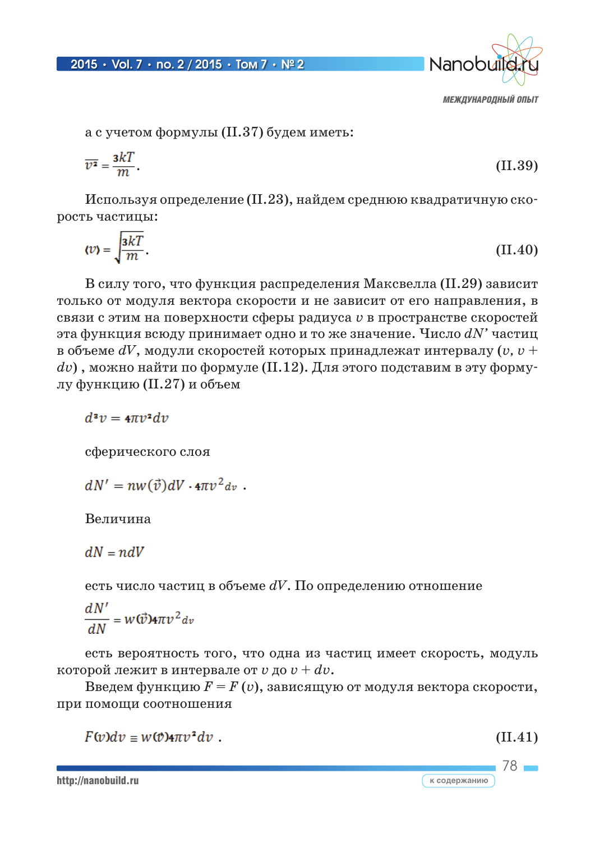

а с учетом формулы (II.37) будем иметь:

$$
\overline{v^2} = \frac{3k}{m}.
$$
 (II.39)

Используя определение (II.23), найдем среднюю квадратичную скорость частицы:

$$
\langle v \rangle = \sqrt{\frac{3kT}{m}}.\tag{II.40}
$$

В силу того, что функция распределения Максвелла (II.29) зависит только от модуля вектора скорости и не зависит от его направления, в связи с этим на поверхности сферы радиуса v в пространстве скоростей эта функция всюду принимает одно и то же значение. Число  $dN'$  частиц в объеме  $dV$ , модули скоростей которых принадлежат интервалу (v, v +  $dv$ ), можно найти по формуле (II.12). Для этого подставим в эту формулу функцию (II.27) и объем

 $d^2v = 4\pi v^2 dv$ 

сферического слоя

 $dN' = nw(\vec{v})dV \cdot 4\pi v^2 dv$ .

Величина

 $dN = ndV$ 

есть число частиц в объеме  $dV$ . По определению отношение

$$
\frac{dN'}{dN} = w(\vec{v}) 4\pi v^2 dv
$$

есть вероятность того, что одна из частиц имеет скорость, модуль которой лежит в интервале от  $v$  до  $v + dv$ .

Введем функцию  $F = F(v)$ , зависящую от модуля вектора скорости, при помощи соотношения

 $F(v)dv = w(v)4\pi v^2 dv$ .

 $(II.41)$ 

78

к содержанию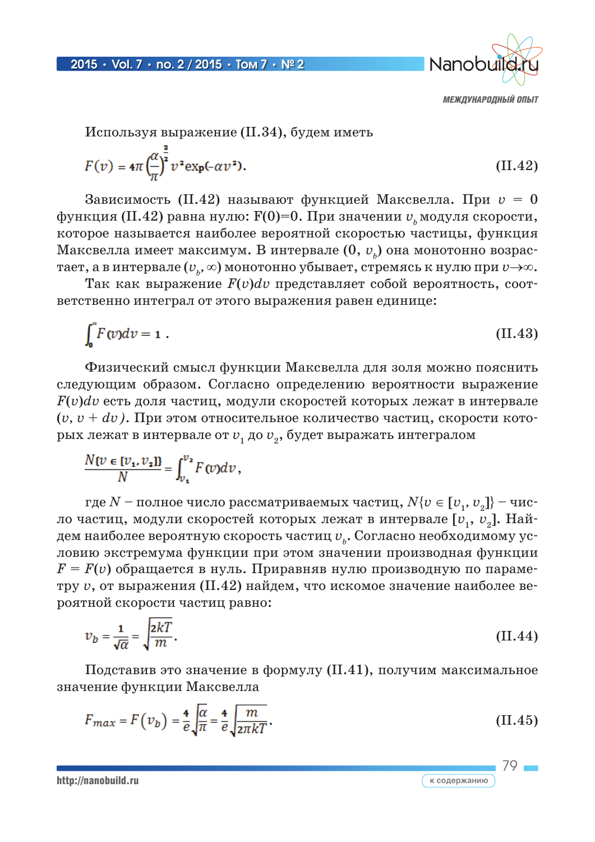

Используя выражение (II.34), будем иметь

$$
F(v) = 4\pi \left(\frac{\alpha}{\pi}\right)^{\frac{2}{3}} v^2 \exp(-\alpha v^2). \tag{II.42}
$$

Зависимость (II.42) называют функцией Максвелла. При  $v = 0$ функция (II.42) равна нулю:  $F(0)=0$ . При значении  $v_{\mu}$ модуля скорости, которое называется наиболее вероятной скоростью частицы, функция Максвелла имеет максимум. В интервале  $(0, v_n)$  она монотонно возрастает, а в интервале  $(v_{i}, \infty)$  монотонно убывает, стремясь к нулю при  $v \rightarrow \infty$ .

Так как выражение  $F(v)dv$  представляет собой вероятность, соответственно интеграл от этого выражения равен единице:

$$
\int_0^{\infty} F(v) dv = 1 \tag{II.43}
$$

Физический смысл функции Максвелла для золя можно пояснить следующим образом. Согласно определению вероятности выражение  $F(v)dv$  есть доля частиц, модули скоростей которых лежат в интервале  $(v, v + dv)$ . При этом относительное количество частиц, скорости которых лежат в интервале от  $v_1$  до  $v_2$ , будет выражать интегралом

$$
\frac{N\{v\in[v_1,v_2]\}}{N}=\int_{v_1}^{v_2}F(v)dv,
$$

где  $N$  – полное число рассматриваемых частиц,  $N\{v \in [v_1, v_2]\}$  – число частиц, модули скоростей которых лежат в интервале [ $v_1$ ,  $v_2$ ]. Найдем наиболее вероятную скорость частиц  $v_{\mu}$ . Согласно необходимому условию экстремума функции при этом значении производная функции  $F = F(v)$  обращается в нуль. Приравняв нулю производную по параметру v, от выражения (II.42) найдем, что искомое значение наиболее вероятной скорости частиц равно:

$$
v_b = \frac{1}{\sqrt{\alpha}} = \sqrt{\frac{2kT}{m}}.
$$
\n(II.44)

Подставив это значение в формулу (II.41), получим максимальное значение функции Максвелла

$$
F_{max} = F(v_b) = \frac{4}{e} \sqrt{\frac{\alpha}{\pi}} = \frac{4}{e} \sqrt{\frac{m}{2\pi kT}}.
$$
 (II.45)

http://nanobuild.ru

$$
\frac{79}{\text{соqepxаниo}}
$$

 $\overline{K}$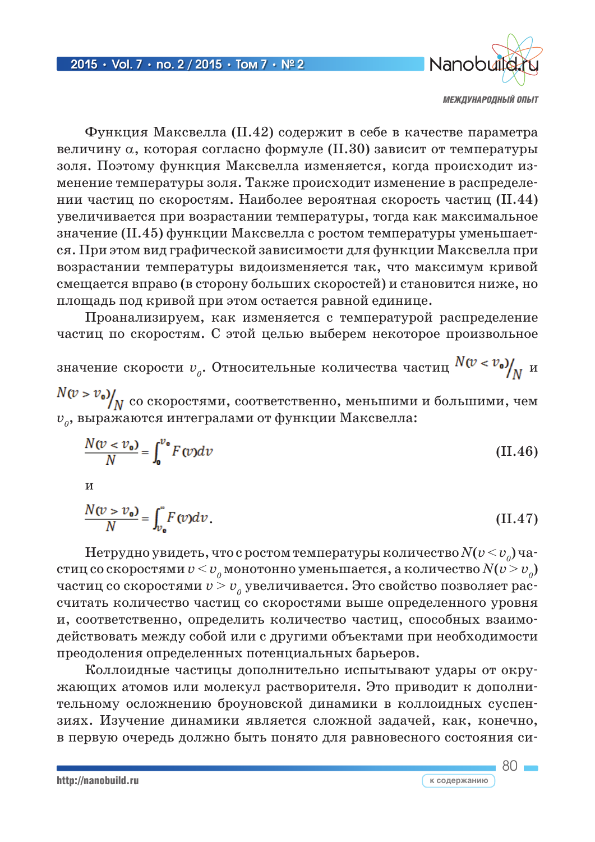

Функция Максвелла (II.42) содержит в себе в качестве параметра величину  $\alpha$ , которая согласно формуле (II.30) зависит от температуры золя. Поэтому функция Максвелла изменяется, когда происходит изменение температуры золя. Также происходит изменение в распределении частиц по скоростям. Наиболее вероятная скорость частиц (II.44) увеличивается при возрастании температуры, тогда как максимальное значение (II.45) функции Максвелла с ростом температуры уменьшается. При этом вид графической зависимости для функции Максвелла при возрастании температуры видоизменяется так, что максимум кривой смещается вправо (в сторону больших скоростей) и становится ниже, но площадь под кривой при этом остается равной единице.

Проанализируем, как изменяется с температурой распределение частиц по скоростям. С этой целью выберем некоторое произвольное

значение скорости  $v_a$ . Относительные количества частиц  $N(v < v_0)$ <sub>NN</sub>

 $N(v > v_0)/N$  со скоростями, соответственно, меньшими и большими, чем  $v<sub>o</sub>$ , выражаются интегралами от функции Максвелла:

$$
\frac{N(v \lt v_0)}{N} = \int_0^{v_0} F(v) dv \tag{II.46}
$$

 $\overline{\mathbf{M}}$ 

$$
\frac{N(v > v_0)}{N} = \int_{v_0}^{v} F(v) dv.
$$
 (II.47)

Нетрудно увидеть, что с ростом температуры количество  $N(v < v_0)$  частиц со скоростями  $v < v_a$ монотонно уменьшается, а количество  $N(v > v_a)$ частиц со скоростями  $v > v_a$  увеличивается. Это свойство позволяет рассчитать количество частиц со скоростями выше определенного уровня и, соответственно, определить количество частиц, способных взаимодействовать между собой или с другими объектами при необходимости преодоления определенных потенциальных барьеров.

Коллоидные частицы дополнительно испытывают удары от окружающих атомов или молекул растворителя. Это приводит к дополнительному осложнению броуновской динамики в коллоидных суспензиях. Изучение динамики является сложной задачей, как, конечно, в первую очередь должно быть понято для равновесного состояния си-

http://nanobuild.ru

 $80 -$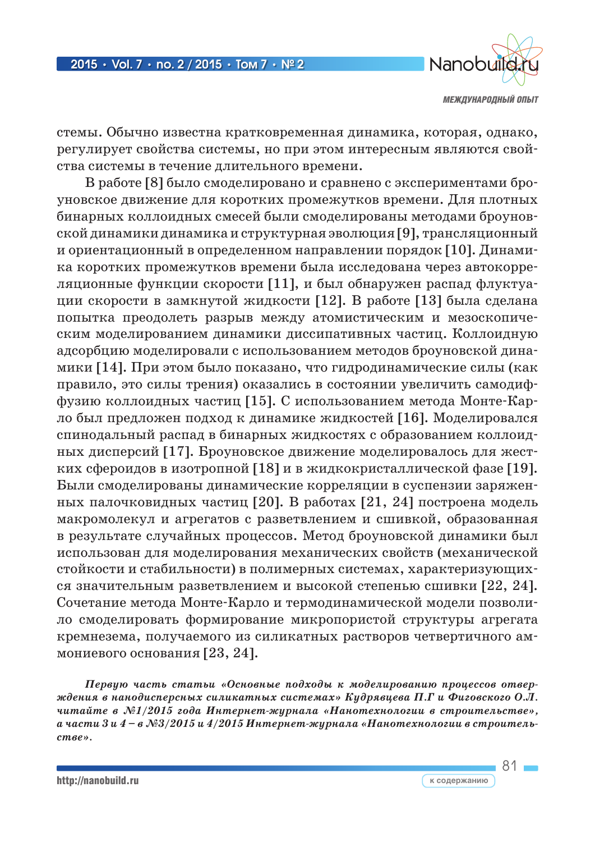

81

стемы. Обычно известна кратковременная динамика, которая, однако, регулирует свойства системы, но при этом интересным являются свойства системы в течение длительного времени.

В работе [8] было смоделировано и сравнено с экспериментами броуновское движение для коротких промежутков времени. Для плотных бинарных коллоидных смесей были смоделированы методами броуновской динамики динамика и структурная эволюция [9], трансляционный и ориентационный в определенном направлении порядок [10]. Динамика коротких промежутков времени была исследована через автокорреляционные функции скорости [11], и был обнаружен распад флуктуации скорости в замкнутой жидкости [12]. В работе [13] была сделана попытка преодолеть разрыв между атомистическим и мезоскопическим моделированием динамики диссипативных частиц. Коллоидную адсорбцию моделировали с использованием методов броуновской динамики [14]. При этом было показано, что гидродинамические силы (как правило, это силы трения) оказались в состоянии увеличить самодиффузию коллоидных частиц [15]. С использованием метода Монте-Карло был предложен подход к динамике жидкостей [16]. Моделировался спинодальный распад в бинарных жидкостях с образованием коллоидных дисперсий [17]. Броуновское движение моделировалось для жестких сфероидов в изотропной [18] и в жидкокристаллической фазе [19]. Были смоделированы динамические корреляции в суспензии заряженных палочковидных частиц [20]. В работах [21, 24] построена модель макромолекул и агрегатов с разветвлением и сшивкой, образованная в результате случайных процессов. Метод броуновской динамики был использован для моделирования механических свойств (механической стойкости и стабильности) в полимерных системах, характеризующихся значительным разветвлением и высокой степенью сшивки [22, 24]. Сочетание метода Монте-Карло и термодинамической модели позволило смоделировать формирование микропористой структуры агрегата кремнезема, получаемого из силикатных растворов четвертичного аммониевого основания [23, 24].

*Первую часть статьи «Основные подходы к моделированию процессов отверждения в нанодисперсных силикатных системах» Кудрявцева П.Г и Фиговского О.Л. читайте в №1/2015 года Интернет-журнала «Нанотехнологии в строительстве», а части 3 и 4 – в №3/2015 и 4/2015 Интернет-журнала «Нанотехнологии в строительстве».*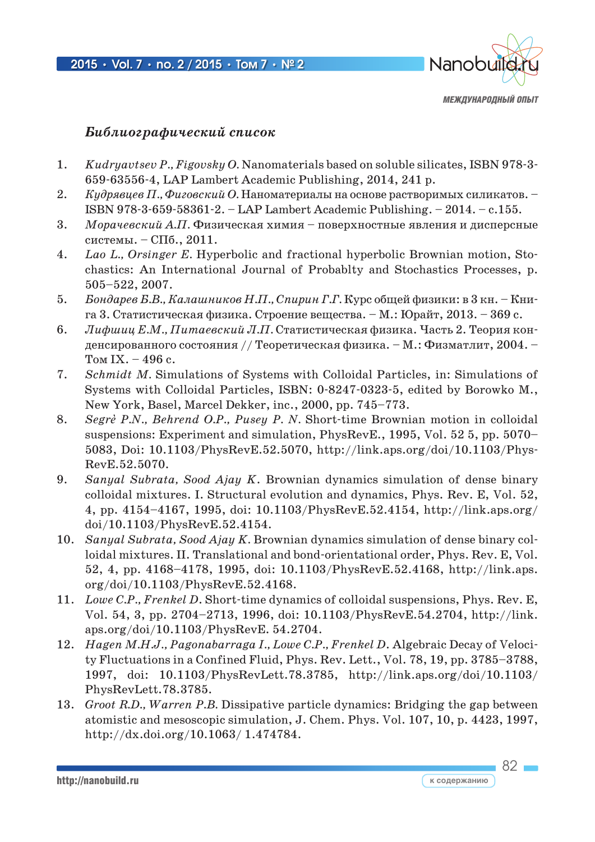

 $82 -$ 

#### *Библиографический список*

- 1. *Kudryavtsev P., Figovsky O.* Nanomaterials based on soluble silicates, ISBN 978-3- 659-63556-4, LAP Lambert Academic Publishing, 2014, 241 p.
- 2. *Кудрявцев П., Фиговский О.* Наноматериалы на основе растворимых силикатов. ISBN 978-3-659-58361-2. – LAP Lambert Academic Publishing. – 2014. – с.155.
- 3. *Морачевский А.П.* Физическая химия поверхностные явления и дисперсные системы. – СПб., 2011.
- 4. *Lao L., Orsinger E.* Hyperbolic and fractional hyperbolic Brownian motion, Stochastics: An International Journal of Probablty and Stochastics Processes, p. 505–522, 2007.
- 5. *Бондарев Б.В., Калашников Н.П., Спирин Г.Г.* Курс общей физики: в 3 кн. Книга 3. Статистическая физика. Строение вещества. – М.: Юрайт, 2013. – 369 с.
- 6. *Лифшиц Е.М., Питаевский Л.П.* Статистическая физика. Часть 2. Теория конденсированного состояния // Теоретическая физика. – М.: Физматлит, 2004. – Том IX. – 496 с.
- 7. *Schmidt M.* Simulations of Systems with Colloidal Particles, in: Simulations of Systems with Colloidal Particles, ISBN: 0-8247-0323-5, edited by Borowko M., New York, Basel, Marcel Dekker, inc., 2000, pp. 745–773.
- 8. *Segrè P.N., Behrend O.P., Pusey P. N.* Short-time Brownian motion in colloidal suspensions: Experiment and simulation, PhysRevE., 1995, Vol. 52 5, pp. 5070– 5083, Doi: 10.1103/PhysRevE.52.5070, http://link.aps.org/doi/10.1103/Phys-RevE.52.5070.
- 9. *Sanyal Subrata, Sood Ajay K*. Brownian dynamics simulation of dense binary colloidal mixtures. I. Structural evolution and dynamics, Phys. Rev. E, Vol. 52, 4, pp. 4154–4167, 1995, doi: 10.1103/PhysRevE.52.4154, http://link.aps.org/ doi/10.1103/PhysRevE.52.4154.
- 10. *Sanyal Subrata, Sood Ajay K.* Brownian dynamics simulation of dense binary colloidal mixtures. II. Translational and bond-orientational order, Phys. Rev. E, Vol. 52, 4, pp. 4168–4178, 1995, doi: 10.1103/PhysRevE.52.4168, http://link.aps. org/doi/10.1103/PhysRevE.52.4168.
- 11. *Lowe C.P., Frenkel D*. Short-time dynamics of colloidal suspensions, Phys. Rev. E, Vol. 54, 3, pp. 2704–2713, 1996, doi: 10.1103/PhysRevE.54.2704, http://link. aps.org/doi/10.1103/PhysRevE. 54.2704.
- 12. *Hagen M.H.J., Pagonabarraga I., Lowe C.P., Frenkel D*. Algebraic Decay of Velocity Fluctuations in a Confined Fluid, Phys. Rev. Lett., Vol. 78, 19, pp. 3785–3788, 1997, doi: 10.1103/PhysRevLett.78.3785, http://link.aps.org/doi/10.1103/ PhysRevLett.78.3785.
- 13. *Groot R.D., Warren P.B.* Dissipative particle dynamics: Bridging the gap between atomistic and mesoscopic simulation, J. Chem. Phys. Vol. 107, 10, p. 4423, 1997, http://dx.doi.org/10.1063/ 1.474784.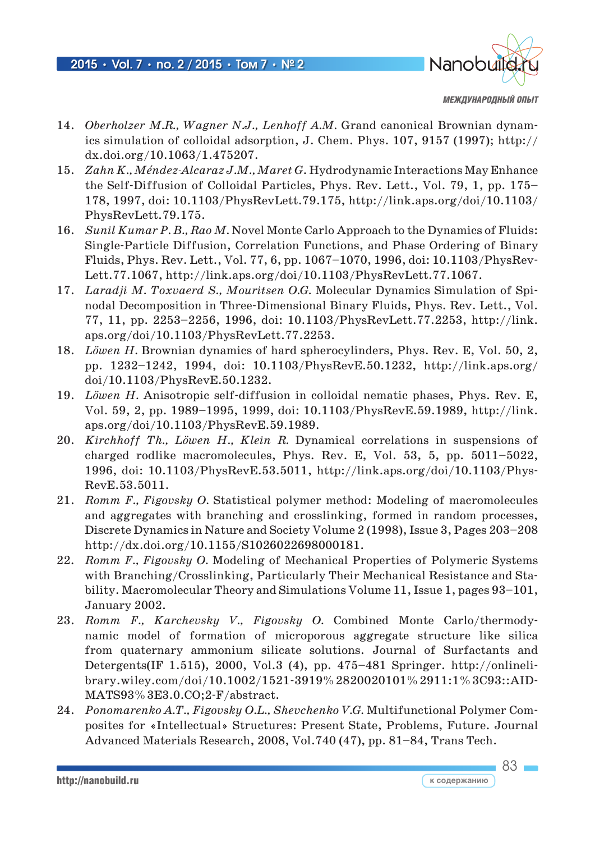

- 14. *Oberholzer M.R., Wagner N.J., Lenhoff A.M.* Grand canonical Brownian dynamics simulation of colloidal adsorption, J. Chem. Phys. 107, 9157 (1997); http:// dx.doi.org/10.1063/1.475207.
- 15. *Zahn K., Méndez-Alcaraz J.M., Maret G*. Hydrodynamic Interactions May Enhance the Self-Diffusion of Colloidal Particles, Phys. Rev. Lett., Vol. 79, 1, pp. 175– 178, 1997, doi: 10.1103/PhysRevLett.79.175, http://link.aps.org/doi/10.1103/ PhysRevLett.79.175.
- 16. *Sunil Kumar P. B., Rao M.* Novel Monte Carlo Approach to the Dynamics of Fluids: Single-Particle Diffusion, Correlation Functions, and Phase Ordering of Binary Fluids, Phys. Rev. Lett., Vol. 77, 6, pp. 1067–1070, 1996, doi: 10.1103/PhysRev-Lett.77.1067, http://link.aps.org/doi/10.1103/PhysRevLett.77.1067.
- 17. *Laradji M. Toxvaerd S., Mouritsen O.G.* Molecular Dynamics Simulation of Spinodal Decomposition in Three-Dimensional Binary Fluids, Phys. Rev. Lett., Vol. 77, 11, pp. 2253–2256, 1996, doi: 10.1103/PhysRevLett.77.2253, http://link. aps.org/doi/10.1103/PhysRevLett.77.2253.
- 18. *Löwen H.* Brownian dynamics of hard spherocylinders, Phys. Rev. E, Vol. 50, 2, pp. 1232–1242, 1994, doi: 10.1103/PhysRevE.50.1232, http://link.aps.org/ doi/10.1103/PhysRevE.50.1232.
- 19. *Löwen H.* Anisotropic self-diffusion in colloidal nematic phases, Phys. Rev. E, Vol. 59, 2, pp. 1989–1995, 1999, doi: 10.1103/PhysRevE.59.1989, http://link. aps.org/doi/10.1103/PhysRevE.59.1989.
- 20. *Kirchhoff Th., Löwen H., Klein R.* Dynamical correlations in suspensions of charged rodlike macromolecules, Phys. Rev. E, Vol. 53, 5, pp. 5011–5022, 1996, doi: 10.1103/PhysRevE.53.5011, http://link.aps.org/doi/10.1103/Phys-RevE.53.5011.
- 21. *Romm F., Figovsky O.* Statistical polymer method: Modeling of macromolecules and aggregates with branching and crosslinking, formed in random processes, Discrete Dynamics in Nature and Society Volume 2 (1998), Issue 3, Pages 203–208 http://dx.doi.org/10.1155/S1026022698000181.
- 22. *Romm F., Figovsky O.* Modeling of Mechanical Properties of Polymeric Systems with Branching/Crosslinking, Particularly Their Mechanical Resistance and Stability. Macromolecular Theory and Simulations Volume 11, Issue 1, pages 93–101, January 2002.
- 23. *Romm F., Karchevsky V., Figovsky O.* Combined Monte Carlo/thermodynamic model of formation of microporous aggregate structure like silica from quaternary ammonium silicate solutions. Journal of Surfactants and Detergents(IF 1.515), 2000, Vol.3 (4), pp. 475–481 Springer. http://onlinelibrary.wiley.com/doi/10.1002/1521-3919%2820020101%2911:1%3C93::AID-MATS93%3E3.0.CO;2-F/abstract.
- 24. *Ponomarenko A.T., Figovsky O.L., Shevchenko V.G.* Multifunctional Polymer Composites for «Intellectual» Structures: Present State, Problems, Future. Journal Advanced Materials Research, 2008, Vol.740 (47), pp. 81–84, Trans Tech.

83